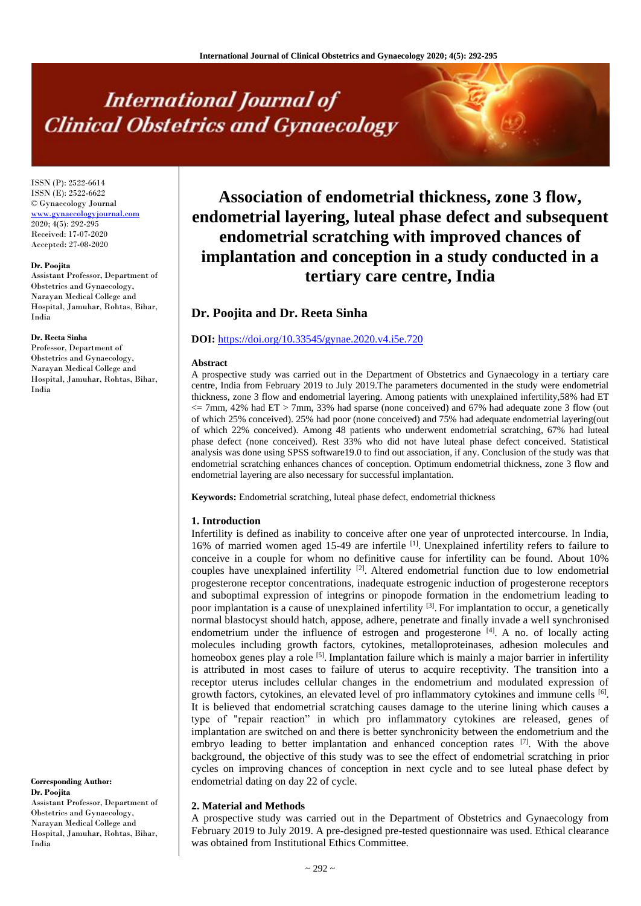# **International Journal of Clinical Obstetrics and Gynaecology**

ISSN (P): 2522-6614 ISSN (E): 2522-6622 © Gynaecology Journal [www.gynaecologyjournal.com](http://www.gynaecologyjournal.com/) 2020; 4(5): 292-295 Received: 17-07-2020 Accepted: 27-08-2020

#### **Dr. Poojita**

Assistant Professor, Department of Obstetrics and Gynaecology, Narayan Medical College and Hospital, Jamuhar, Rohtas, Bihar, India

#### **Dr. Reeta Sinha**

Professor, Department of Obstetrics and Gynaecology, Narayan Medical College and Hospital, Jamuhar, Rohtas, Bihar, India

**Corresponding Author: Dr. Poojita** Assistant Professor, Department of

Obstetrics and Gynaecology, Narayan Medical College and Hospital, Jamuhar, Rohtas, Bihar, India

**Association of endometrial thickness, zone 3 flow, endometrial layering, luteal phase defect and subsequent endometrial scratching with improved chances of implantation and conception in a study conducted in a tertiary care centre, India**

# **Dr. Poojita and Dr. Reeta Sinha**

# **DOI:** <https://doi.org/10.33545/gynae.2020.v4.i5e.720>

#### **Abstract**

A prospective study was carried out in the Department of Obstetrics and Gynaecology in a tertiary care centre, India from February 2019 to July 2019.The parameters documented in the study were endometrial thickness, zone 3 flow and endometrial layering. Among patients with unexplained infertility,58% had ET <= 7mm, 42% had ET > 7mm, 33% had sparse (none conceived) and 67% had adequate zone 3 flow (out of which 25% conceived). 25% had poor (none conceived) and 75% had adequate endometrial layering(out of which 22% conceived). Among 48 patients who underwent endometrial scratching, 67% had luteal phase defect (none conceived). Rest 33% who did not have luteal phase defect conceived. Statistical analysis was done using SPSS software19.0 to find out association, if any. Conclusion of the study was that endometrial scratching enhances chances of conception. Optimum endometrial thickness, zone 3 flow and endometrial layering are also necessary for successful implantation.

**Keywords:** Endometrial scratching, luteal phase defect, endometrial thickness

# **1. Introduction**

Infertility is defined as inability to conceive after one year of unprotected intercourse. In India, 16% of married women aged 15-49 are infertile <sup>[1]</sup>. Unexplained infertility refers to failure to conceive in a couple for whom no definitive cause for infertility can be found. About 10% couples have unexplained infertility  $\left( \frac{1}{2} \right)$ . Altered endometrial function due to low endometrial progesterone receptor concentrations, inadequate estrogenic induction of progesterone receptors and suboptimal expression of integrins or pinopode formation in the endometrium leading to poor implantation is a cause of unexplained infertility <sup>[3]</sup>. For implantation to occur, a genetically normal blastocyst should hatch, appose, adhere, penetrate and finally invade a well synchronised endometrium under the influence of estrogen and progesterone  $[4]$ . A no. of locally acting molecules including growth factors, cytokines, metalloproteinases, adhesion molecules and homeobox genes play a role <sup>[5]</sup>. Implantation failure which is mainly a major barrier in infertility is attributed in most cases to failure of uterus to acquire receptivity. The transition into a receptor uterus includes cellular changes in the endometrium and modulated expression of growth factors, cytokines, an elevated level of pro inflammatory cytokines and immune cells [6]. It is believed that endometrial scratching causes damage to the uterine lining which causes a type of "repair reaction" in which pro inflammatory cytokines are released, genes of implantation are switched on and there is better synchronicity between the endometrium and the embryo leading to better implantation and enhanced conception rates  $[7]$ . With the above background, the objective of this study was to see the effect of endometrial scratching in prior cycles on improving chances of conception in next cycle and to see luteal phase defect by endometrial dating on day 22 of cycle.

# **2. Material and Methods**

A prospective study was carried out in the Department of Obstetrics and Gynaecology from February 2019 to July 2019. A pre-designed pre-tested questionnaire was used. Ethical clearance was obtained from Institutional Ethics Committee.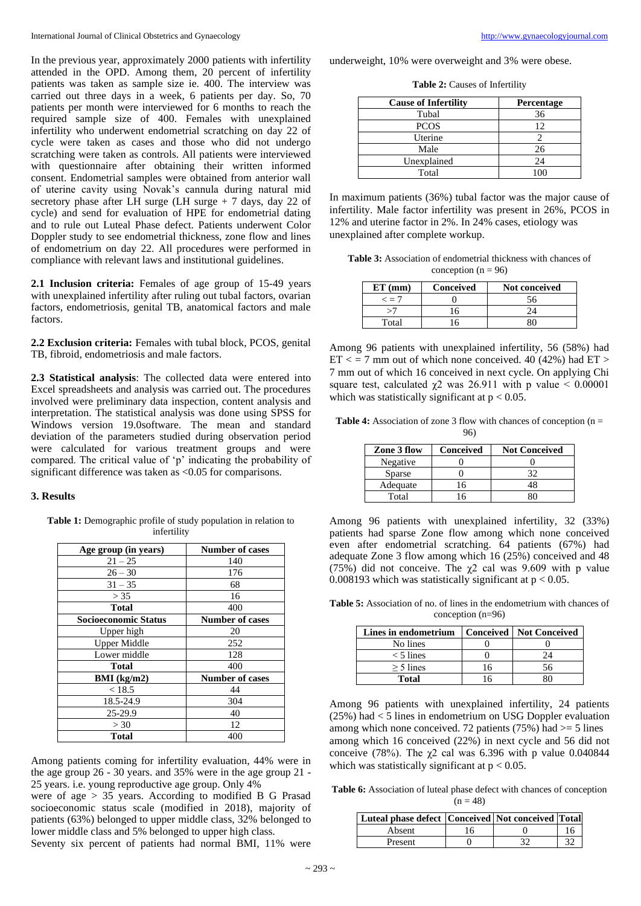In the previous year, approximately 2000 patients with infertility attended in the OPD. Among them, 20 percent of infertility patients was taken as sample size ie. 400. The interview was carried out three days in a week, 6 patients per day. So, 70 patients per month were interviewed for 6 months to reach the required sample size of 400. Females with unexplained infertility who underwent endometrial scratching on day 22 of cycle were taken as cases and those who did not undergo scratching were taken as controls. All patients were interviewed with questionnaire after obtaining their written informed consent. Endometrial samples were obtained from anterior wall of uterine cavity using Novak's cannula during natural mid secretory phase after LH surge (LH surge + 7 days, day 22 of cycle) and send for evaluation of HPE for endometrial dating and to rule out Luteal Phase defect. Patients underwent Color Doppler study to see endometrial thickness, zone flow and lines of endometrium on day 22. All procedures were performed in compliance with relevant laws and institutional guidelines.

**2.1 Inclusion criteria:** Females of age group of 15-49 years with unexplained infertility after ruling out tubal factors, ovarian factors, endometriosis, genital TB, anatomical factors and male factors.

**2.2 Exclusion criteria:** Females with tubal block, PCOS, genital TB, fibroid, endometriosis and male factors.

**2.3 Statistical analysis**: The collected data were entered into Excel spreadsheets and analysis was carried out. The procedures involved were preliminary data inspection, content analysis and interpretation. The statistical analysis was done using SPSS for Windows version 19.0software. The mean and standard deviation of the parameters studied during observation period were calculated for various treatment groups and were compared. The critical value of 'p' indicating the probability of significant difference was taken as <0.05 for comparisons.

#### **3. Results**

**Table 1:** Demographic profile of study population in relation to infertility

| Age group (in years)        | <b>Number of cases</b> |
|-----------------------------|------------------------|
| $21 - 25$                   | 140                    |
| $26 - 30$                   | 176                    |
| $31 - 35$                   | 68                     |
| > 35                        | 16                     |
| Total                       | 400                    |
| <b>Socioeconomic Status</b> | <b>Number of cases</b> |
| Upper high                  | 20                     |
| <b>Upper Middle</b>         | 252                    |
| Lower middle                | 128                    |
| Total                       | 400                    |
| BMI (kg/m2)                 | <b>Number of cases</b> |
| < 18.5                      | 44                     |
| 18.5-24.9                   | 304                    |
| 25-29.9                     | 40                     |
| > 30                        | 12                     |
| Total                       | 400                    |

Among patients coming for infertility evaluation, 44% were in the age group 26 - 30 years. and 35% were in the age group 21 - 25 years. i.e. young reproductive age group. Only 4%

were of age > 35 years. According to modified B G Prasad socioeconomic status scale (modified in 2018), majority of patients (63%) belonged to upper middle class, 32% belonged to lower middle class and 5% belonged to upper high class.

Seventy six percent of patients had normal BMI, 11% were

underweight, 10% were overweight and 3% were obese.

**Table 2:** Causes of Infertility

| <b>Cause of Infertility</b> | Percentage |
|-----------------------------|------------|
| Tubal                       | 36         |
| <b>PCOS</b>                 | 12         |
| Uterine                     |            |
| Male                        | 26         |
| Unexplained                 | 24         |
| Total                       |            |

In maximum patients (36%) tubal factor was the major cause of infertility. Male factor infertility was present in 26%, PCOS in 12% and uterine factor in 2%. In 24% cases, etiology was unexplained after complete workup.

**Table 3:** Association of endometrial thickness with chances of conception  $(n = 96)$ 

| $ET$ (mm)      | Conceived | Not conceived |
|----------------|-----------|---------------|
| $\epsilon = 7$ |           |               |
|                |           |               |
| Total          |           |               |

Among 96 patients with unexplained infertility, 56 (58%) had  $ET < 7$  mm out of which none conceived. 40 (42%) had  $ET > 7$ 7 mm out of which 16 conceived in next cycle. On applying Chi square test, calculated  $\chi$ 2 was 26.911 with p value < 0.00001 which was statistically significant at  $p < 0.05$ .

**Table 4:** Association of zone 3 flow with chances of conception (n = 96)

| Zone 3 flow   | Conceived | <b>Not Conceived</b> |
|---------------|-----------|----------------------|
| Negative      |           |                      |
| <b>Sparse</b> |           | つ                    |
| Adequate      | 6         |                      |
| Total         |           |                      |

Among 96 patients with unexplained infertility, 32 (33%) patients had sparse Zone flow among which none conceived even after endometrial scratching. 64 patients (67%) had adequate Zone 3 flow among which 16 (25%) conceived and 48 (75%) did not conceive. The  $\chi$ 2 cal was 9.609 with p value 0.008193 which was statistically significant at  $p < 0.05$ .

**Table 5:** Association of no. of lines in the endometrium with chances of conception (n=96)

| Lines in endometrium |    | <b>Conceived   Not Conceived</b> |
|----------------------|----|----------------------------------|
| No lines             |    |                                  |
| $<$ 5 lines          |    | 24                               |
| $> 5$ lines          | 16 | 56                               |
| Total                | 16 |                                  |

Among 96 patients with unexplained infertility, 24 patients (25%) had < 5 lines in endometrium on USG Doppler evaluation among which none conceived. 72 patients (75%) had  $>=$  5 lines among which 16 conceived (22%) in next cycle and 56 did not conceive (78%). The  $\chi$ 2 cal was 6.396 with p value 0.040844 which was statistically significant at  $p < 0.05$ .

Table 6: Association of luteal phase defect with chances of conception  $(n = 48)$ 

| Luteal phase defect   Conceived   Not conceived   Total |    |  |
|---------------------------------------------------------|----|--|
| Absent                                                  | 16 |  |
| Present                                                 |    |  |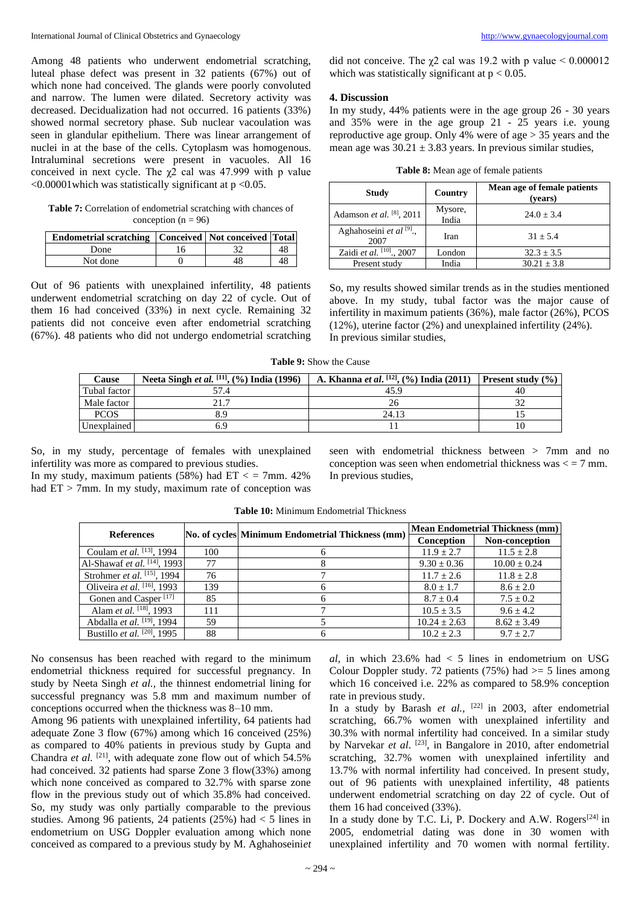Among 48 patients who underwent endometrial scratching, luteal phase defect was present in 32 patients (67%) out of which none had conceived. The glands were poorly convoluted and narrow. The lumen were dilated. Secretory activity was decreased. Decidualization had not occurred. 16 patients (33%) showed normal secretory phase. Sub nuclear vacoulation was seen in glandular epithelium. There was linear arrangement of nuclei in at the base of the cells. Cytoplasm was homogenous. Intraluminal secretions were present in vacuoles. All 16 conceived in next cycle. The  $\chi^2$  cal was 47.999 with p value  $\leq 0.00001$  which was statistically significant at p  $\leq 0.05$ .

**Table 7:** Correlation of endometrial scratching with chances of conception ( $n = 96$ )

| <b>Endometrial scratching Conceived Not conceived Total</b> |     |  |
|-------------------------------------------------------------|-----|--|
| Done                                                        | ' 6 |  |
| Not done                                                    |     |  |

Out of 96 patients with unexplained infertility, 48 patients underwent endometrial scratching on day 22 of cycle. Out of them 16 had conceived (33%) in next cycle. Remaining 32 patients did not conceive even after endometrial scratching (67%). 48 patients who did not undergo endometrial scratching did not conceive. The  $\gamma$ 2 cal was 19.2 with p value < 0.000012 which was statistically significant at  $p < 0.05$ .

#### **4. Discussion**

In my study, 44% patients were in the age group 26 - 30 years and 35% were in the age group 21 - 25 years i.e. young reproductive age group. Only 4% were of age > 35 years and the mean age was  $30.21 \pm 3.83$  years. In previous similar studies,

|  |  |  | Table 8: Mean age of female patients |  |
|--|--|--|--------------------------------------|--|
|  |  |  |                                      |  |

| Study                             | Country          | Mean age of female patients<br>(vears) |
|-----------------------------------|------------------|----------------------------------------|
| Adamson et al. $[8]$ , 2011       | Mysore,<br>India | $24.0 + 3.4$                           |
| Aghahoseini et al $[9]$ .<br>2007 | Iran             | $31 + 5.4$                             |
| Zaidi et al. [10], 2007           | London           | $32.3 + 3.5$                           |
| Present study                     | India            | $30.21 \pm 3.8$                        |

So, my results showed similar trends as in the studies mentioned above. In my study, tubal factor was the major cause of infertility in maximum patients (36%), male factor (26%), PCOS (12%), uterine factor (2%) and unexplained infertility (24%). In previous similar studies,

**Table 9:** Show the Cause

| Cause        | Neeta Singh <i>et al.</i> [11], $(\% )$ India (1996) | A. Khanna <i>et al.</i> <sup>[12]</sup> , $(\% )$ India (2011) | <b>Present study</b> $(\% )$ |
|--------------|------------------------------------------------------|----------------------------------------------------------------|------------------------------|
| Tubal factor |                                                      | 45.9                                                           | 40                           |
| Male factor  | 21.7                                                 |                                                                |                              |
| <b>PCOS</b>  | 8.9                                                  | 24.13                                                          |                              |
| Unexplained  | ና 9                                                  |                                                                |                              |

So, in my study, percentage of females with unexplained infertility was more as compared to previous studies. In my study, maximum patients (58%) had  $ET <$  = 7mm. 42% had  $ET > 7$ mm. In my study, maximum rate of conception was seen with endometrial thickness between > 7mm and no conception was seen when endometrial thickness was  $\lt$  = 7 mm. In previous studies,

| <b>References</b>                           |     | No. of cycles Minimum Endometrial Thickness (mm) | Mean Endometrial Thickness (mm) |                  |  |
|---------------------------------------------|-----|--------------------------------------------------|---------------------------------|------------------|--|
|                                             |     |                                                  | Conception                      | Non-conception   |  |
| Coulam <i>et al.</i> <sup>[13]</sup> , 1994 | 100 |                                                  | $11.9 + 2.7$                    | $11.5 \pm 2.8$   |  |
| Al-Shawaf et al. [14], 1993                 | 77  |                                                  | $9.30 \pm 0.36$                 | $10.00 \pm 0.24$ |  |
| Strohmer <i>et al.</i> $^{[15]}$ , 1994     | 76  |                                                  | $11.7 + 2.6$                    | $11.8 + 2.8$     |  |
| Oliveira et al. $[16]$ , 1993               | 139 |                                                  | $8.0 \pm 1.7$                   | $8.6 \pm 2.0$    |  |
| Gonen and Casper <sup>[17]</sup>            | 85  | 6                                                | $8.7 + 0.4$                     | $7.5 + 0.2$      |  |
| Alam et al. [18], 1993                      | 111 |                                                  | $10.5 \pm 3.5$                  | $9.6 + 4.2$      |  |
| Abdalla et al. <sup>[19]</sup> , 1994       | 59  |                                                  | $10.24 \pm 2.63$                | $8.62 \pm 3.49$  |  |
| Bustillo et al. <sup>[20]</sup> , 1995      | 88  | h.                                               | $10.2 + 2.3$                    | $9.7 + 2.7$      |  |

**Table 10:** Minimum Endometrial Thickness

No consensus has been reached with regard to the minimum endometrial thickness required for successful pregnancy. In study by Neeta Singh *et al.,* the thinnest endometrial lining for successful pregnancy was 5.8 mm and maximum number of conceptions occurred when the thickness was 8–10 mm.

Among 96 patients with unexplained infertility, 64 patients had adequate Zone 3 flow (67%) among which 16 conceived (25%) as compared to 40% patients in previous study by Gupta and Chandra *et al.*  $[21]$ , with adequate zone flow out of which  $54.5\%$ had conceived. 32 patients had sparse Zone 3 flow(33%) among which none conceived as compared to 32.7% with sparse zone flow in the previous study out of which 35.8% had conceived. So, my study was only partially comparable to the previous studies. Among 96 patients, 24 patients (25%) had < 5 lines in endometrium on USG Doppler evaluation among which none conceived as compared to a previous study by M. Aghahoseini*et* 

 $al$ , in which  $23.6\%$  had  $<$  5 lines in endometrium on USG Colour Doppler study. 72 patients (75%) had  $\ge$  5 lines among which 16 conceived i.e. 22% as compared to 58.9% conception rate in previous study.

In a study by Barash *et al.*,  $[22]$  in 2003, after endometrial scratching, 66.7% women with unexplained infertility and 30.3% with normal infertility had conceived. In a similar study by Narvekar *et al*. [23] , in Bangalore in 2010, after endometrial scratching, 32.7% women with unexplained infertility and 13.7% with normal infertility had conceived. In present study, out of 96 patients with unexplained infertility, 48 patients underwent endometrial scratching on day 22 of cycle. Out of them 16 had conceived (33%).

In a study done by T.C. Li, P. Dockery and A.W. Rogers<sup>[24]</sup> in 2005, endometrial dating was done in 30 women with unexplained infertility and 70 women with normal fertility.